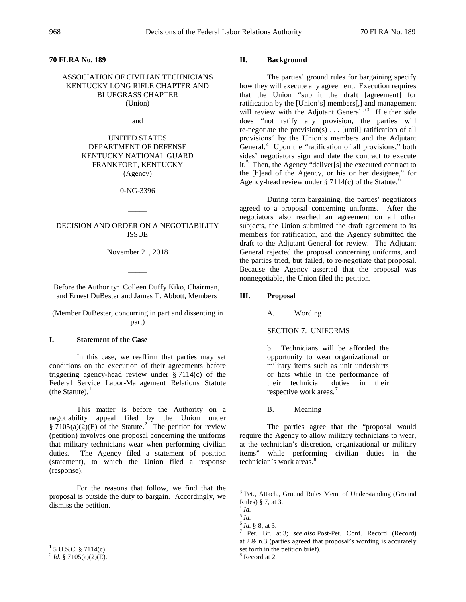# **70 FLRA No. 189**

# ASSOCIATION OF CIVILIAN TECHNICIANS KENTUCKY LONG RIFLE CHAPTER AND BLUEGRASS CHAPTER (Union)

and

UNITED STATES DEPARTMENT OF DEFENSE KENTUCKY NATIONAL GUARD FRANKFORT, KENTUCKY (Agency)

0-NG-3396

 $\overline{\phantom{a}}$ 

#### DECISION AND ORDER ON A NEGOTIABILITY ISSUE

November 21, 2018

 $\overline{\phantom{a}}$ 

Before the Authority: Colleen Duffy Kiko, Chairman, and Ernest DuBester and James T. Abbott, Members

(Member DuBester, concurring in part and dissenting in part)

# **I. Statement of the Case**

In this case, we reaffirm that parties may set conditions on the execution of their agreements before triggering agency-head review under  $\S 7114(c)$  of the Federal Service Labor-Management Relations Statute (the Statute). $<sup>1</sup>$  $<sup>1</sup>$  $<sup>1</sup>$ </sup>

This matter is before the Authority on a negotiability appeal filed by the Union under  $\S 7105(a)(2)(E)$  $\S 7105(a)(2)(E)$  $\S 7105(a)(2)(E)$  of the Statute.<sup>2</sup> The petition for review (petition) involves one proposal concerning the uniforms that military technicians wear when performing civilian duties. The Agency filed a statement of position (statement), to which the Union filed a response (response).

<span id="page-0-4"></span><span id="page-0-3"></span><span id="page-0-2"></span>For the reasons that follow, we find that the proposal is outside the duty to bargain. Accordingly, we dismiss the petition.

### **II. Background**

The parties' ground rules for bargaining specify how they will execute any agreement. Execution requires that the Union "submit the draft [agreement] for ratification by the [Union's] members[,] and management will review with the Adjutant General."<sup>[3](#page-0-2)</sup> If either side does "not ratify any provision, the parties will re-negotiate the provision(s) . . . [until] ratification of all provisions" by the Union's members and the Adjutant General.<sup>[4](#page-0-3)</sup> Upon the "ratification of all provisions," both sides' negotiators sign and date the contract to execute it.<sup>[5](#page-0-4)</sup> Then, the Agency "deliver[s] the executed contract to the [h]ead of the Agency, or his or her designee," for Agency-head review under § 7114(c) of the Statute.<sup> $6$ </sup>

During term bargaining, the parties' negotiators agreed to a proposal concerning uniforms. After the negotiators also reached an agreement on all other subjects, the Union submitted the draft agreement to its members for ratification, and the Agency submitted the draft to the Adjutant General for review. The Adjutant General rejected the proposal concerning uniforms, and the parties tried, but failed, to re-negotiate that proposal. Because the Agency asserted that the proposal was nonnegotiable, the Union filed the petition.

#### **III. Proposal**

A. Wording

SECTION 7. UNIFORMS

b. Technicians will be afforded the opportunity to wear organizational or military items such as unit undershirts or hats while in the performance of their technician duties in their respective work areas.<sup>[7](#page-0-6)</sup>

B. Meaning

The parties agree that the "proposal would require the Agency to allow military technicians to wear, at the technician's discretion, organizational or military items" while performing civilian duties in the technician's work areas.[8](#page-0-1)

<span id="page-0-6"></span><span id="page-0-5"></span><span id="page-0-1"></span><span id="page-0-0"></span><sup>&</sup>lt;sup>1</sup> 5 U.S.C. § 7114(c).<br><sup>2</sup> *Id.* § 7105(a)(2)(E).

 <sup>3</sup> Pet., Attach., Ground Rules Mem. of Understanding (Ground Rules) § 7, at 3. <sup>4</sup> *Id.*

 $\frac{5}{6}$  *Id.* § 8, at 3.

<sup>&</sup>lt;sup>7</sup> Pet. Br. at 3; *see also* Post-Pet. Conf. Record (Record) at  $2 \& n.3$  (parties agreed that proposal's wording is accurately set forth in the petition brief).

<sup>8</sup> Record at 2.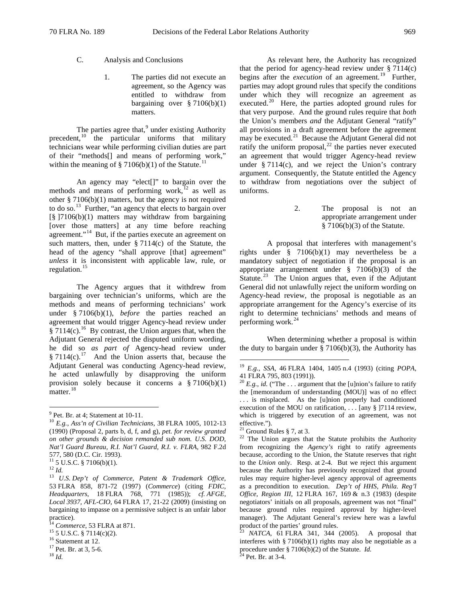- C. Analysis and Conclusions
	- 1. The parties did not execute an agreement, so the Agency was entitled to withdraw from bargaining over  $\S 7106(b)(1)$ matters.

The parties agree that, $9$  under existing Authority precedent, $10$  the particular uniforms that military technicians wear while performing civilian duties are part of their "methods[] and means of performing work," within the meaning of § 7106(b)(1) of the Statute.<sup>[11](#page-1-2)</sup>

An agency may "elect[]" to bargain over the methods and means of performing work, $^{12}$  $^{12}$  $^{12}$  as well as other § 7106(b)(1) matters, but the agency is not required to do so.<sup>[13](#page-1-4)</sup> Further, "an agency that elects to bargain over [§ ]7106(b)(1) matters may withdraw from bargaining [over those matters] at any time before reaching agreement."<sup>[14](#page-1-5)</sup> But, if the parties execute an agreement on such matters, then, under  $\S 7114(c)$  of the Statute, the head of the agency "shall approve [that] agreement" *unless* it is inconsistent with applicable law, rule, or regulation. $15$ 

The Agency argues that it withdrew from bargaining over technician's uniforms, which are the methods and means of performing technicians' work under § 7106(b)(1), *before* the parties reached an agreement that would trigger Agency-head review under  $§$  7114(c).<sup>16</sup> By contrast, the Union argues that, when the Adjutant General rejected the disputed uniform wording, he did so *as part of* Agency-head review under  $§ 7114(c).$ <sup>17</sup> And the Union asserts that, because the Adjutant General was conducting Agency-head review, he acted unlawfully by disapproving the uniform provision solely because it concerns a  $\S 7106(b)(1)$ matter.<sup>[18](#page-1-9)</sup>

As relevant here, the Authority has recognized that the period for agency-head review under  $§ 7114(c)$ begins after the *execution* of an agreement.<sup>[19](#page-1-10)</sup> Further, parties may adopt ground rules that specify the conditions under which they will recognize an agreement as executed.<sup>[20](#page-1-11)</sup> Here, the parties adopted ground rules for that very purpose. And the ground rules require that *both* the Union's members *and* the Adjutant General "ratify" all provisions in a draft agreement before the agreement may be executed.<sup>21</sup> Because the Adjutant General did not ratify the uniform proposal, $^{22}$  $^{22}$  $^{22}$  the parties never executed an agreement that would trigger Agency-head review under  $§ 7114(c)$ , and we reject the Union's contrary argument. Consequently, the Statute entitled the Agency to withdraw from negotiations over the subject of uniforms.

> 2. The proposal is not an appropriate arrangement under § 7106(b)(3) of the Statute.

A proposal that interferes with management's rights under § 7106(b)(1) may nevertheless be a mandatory subject of negotiation if the proposal is an appropriate arrangement under § 7106(b)(3) of the Statute.<sup>[23](#page-1-6)</sup> The Union argues that, even if the Adjutant General did not unlawfully reject the uniform wording on Agency-head review, the proposal is negotiable as an appropriate arrangement for the Agency's exercise of its right to determine technicians' methods and means of performing work.<sup>[24](#page-1-9)</sup>

When determining whether a proposal is within the duty to bargain under  $\S 7106(b)(3)$ , the Authority has

effective.").<br> $21$  Ground Rules § 7, at 3.

<span id="page-1-13"></span><span id="page-1-12"></span>

<span id="page-1-11"></span><span id="page-1-10"></span><span id="page-1-1"></span><span id="page-1-0"></span><sup>9</sup> Pet. Br. at 4; Statement at 10-11. <sup>10</sup> *E.g.*, *Ass'n of Civilian Technicians*, 38 FLRA 1005, 1012-13 (1990) (Proposal 2, parts b, d, f, and g), *pet. for review granted on other grounds & decision remanded sub nom. U.S. DOD, Nat'l Guard Bureau, R.I. Nat'l Guard, R.I. v. FLRA*, 982 F.2d 577, 580 (D.C. Cir. 1993). <sup>11</sup> <sup>5</sup> U.S.C. § 7106(b)(1). <sup>12</sup> *Id.* <sup>13</sup> *U.S. Dep't of Commerce, Patent & Trademark Office*,

<span id="page-1-3"></span><span id="page-1-2"></span>

<span id="page-1-4"></span><sup>53</sup> FLRA 858, 871-72 (1997) (*Commerce*) (citing *FDIC, Headquarters*, 18 FLRA 768, 771 (1985)); *cf. AFGE, Local 3937, AFL-CIO*, 64 FLRA 17, 21-22 (2009) (insisting on bargaining to impasse on a permissive subject is an unfair labor practice).

<span id="page-1-5"></span><sup>&</sup>lt;sup>14</sup> *Commerce*, 53 FLRA at 871.<br><sup>15</sup> 5 U.S.C. § 7114(c)(2).<br><sup>16</sup> Statement at 12.<br><sup>17</sup> Pet. Br. at 3, 5-6.<br><sup>18</sup> *Id.* 

<span id="page-1-6"></span>

<span id="page-1-7"></span>

<span id="page-1-8"></span>

<span id="page-1-9"></span>

 <sup>19</sup> *E.g.*, *SSA*, 46 FLRA 1404, 1405 n.4 (1993) (citing *POPA*, 41 FLRA 795, 803 (1991)).<br><sup>20</sup> *E.g.*, *id.* ("The ... argument that the [u]nion's failure to ratify

the [memorandum of understanding (MOU)] was of no effect . . . is misplaced. As the [u]nion properly had conditioned execution of the MOU on ratification, . . . [any § ]7114 review, which is triggered by execution of an agreement, was not

 $22$  The Union argues that the Statute prohibits the Authority from recognizing the *Agency's* right to ratify agreements because, according to the Union, the Statute reserves that right to the *Union* only. Resp. at 2-4. But we reject this argument because the Authority has previously recognized that ground rules may require higher-level agency approval of agreements as a precondition to execution. *Dep't of HHS, Phila. Reg'l Office, Region III*, 12 FLRA 167, 169 & n.3 (1983) (despite negotiators' initials on all proposals, agreement was not "final" because ground rules required approval by higher-level manager). The Adjutant General's review here was a lawful product of the parties' ground rules.

<sup>23</sup> *NATCA*, 61 FLRA 341, 344 (2005). A proposal that interferes with  $\S 7106(b)(1)$  rights may also be negotiable as a procedure under § 7106(b)(2) of the Statute. *Id.* <sup>24</sup> Pet. Br. at 3-4.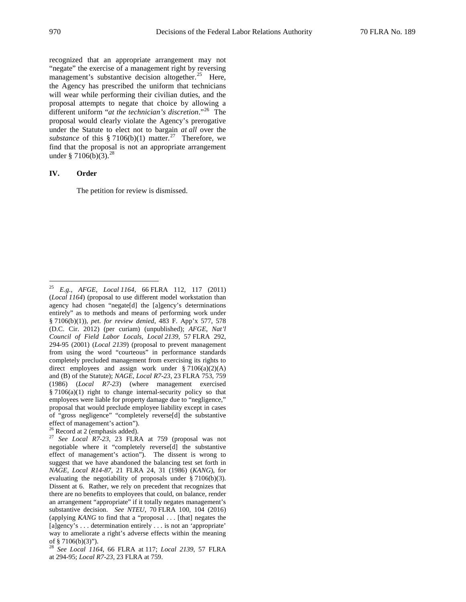recognized that an appropriate arrangement may not "negate" the exercise of a management right by reversing management's substantive decision altogether. $^{25}$  $^{25}$  $^{25}$  Here, the Agency has prescribed the uniform that technicians will wear while performing their civilian duties, and the proposal attempts to negate that choice by allowing a different uniform "*at the technician's discretion*."[26](#page-2-1) The proposal would clearly violate the Agency's prerogative under the Statute to elect not to bargain *at all* over the *substance* of this § 7106(b)(1) matter.<sup>[27](#page-2-2)</sup> Therefore, we find that the proposal is not an appropriate arrangement under § 7106(b)(3).<sup>[28](#page-2-3)</sup>

# **IV. Order**

The petition for review is dismissed.

<span id="page-2-0"></span> <sup>25</sup> *E.g.*, *AFGE, Local <sup>1164</sup>*, 66 FLRA 112, 117 (2011) (*Local 1164*) (proposal to use different model workstation than agency had chosen "negate[d] the [a]gency's determinations entirely" as to methods and means of performing work under § 7106(b)(1)), *pet. for review denied*, 483 F. App'x 577, 578 (D.C. Cir. 2012) (per curiam) (unpublished); *AFGE, Nat'l Council of Field Labor Locals, Local 2139*, 57 FLRA 292, 294-95 (2001) (*Local 2139*) (proposal to prevent management from using the word "courteous" in performance standards completely precluded management from exercising its rights to direct employees and assign work under § 7106(a)(2)(A) and (B) of the Statute); *NAGE, Local R7-23*, 23 FLRA 753, 759 (1986) (*Local R7-23*) (where management exercised § 7106(a)(1) right to change internal-security policy so that employees were liable for property damage due to "negligence," proposal that would preclude employee liability except in cases of "gross negligence" "completely reverse[d] the substantive effect of management's action").<br><sup>26</sup> Record at 2 (emphasis added).

<span id="page-2-2"></span><span id="page-2-1"></span><sup>&</sup>lt;sup>27</sup> See Local R7-23, 23 FLRA at 759 (proposal was not negotiable where it "completely reverse[d] the substantive effect of management's action"). The dissent is wrong to suggest that we have abandoned the balancing test set forth in *NAGE, Local R14-87*, 21 FLRA 24, 31 (1986) (*KANG*), for evaluating the negotiability of proposals under § 7106(b)(3). Dissent at 6. Rather, we rely on precedent that recognizes that there are no benefits to employees that could, on balance, render an arrangement "appropriate" if it totally negates management's substantive decision. *See NTEU*, 70 FLRA 100, 104 (2016) (applying *KANG* to find that a "proposal . . . [that] negates the [a]gency's ... determination entirely ... is not an 'appropriate' way to ameliorate a right's adverse effects within the meaning of § 7106(b)(3)").

<span id="page-2-3"></span><sup>28</sup> *See Local 1164*, 66 FLRA at 117; *Local 2139*, 57 FLRA at 294-95; *Local R7-23*, 23 FLRA at 759.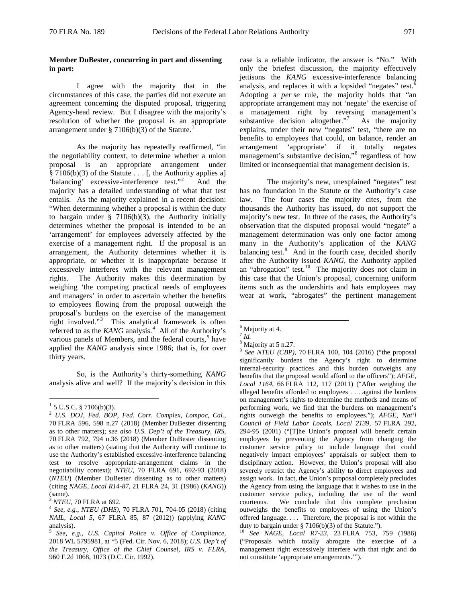# **Member DuBester, concurring in part and dissenting in part:**

I agree with the majority that in the circumstances of this case, the parties did not execute an agreement concerning the disputed proposal, triggering Agency-head review. But I disagree with the majority's resolution of whether the proposal is an appropriate arrangement under § 7[1](#page-3-0)06(b)(3) of the Statute.<sup>1</sup>

As the majority has repeatedly reaffirmed, "in the negotiability context, to determine whether a union proposal is an appropriate arrangement under  $\frac{2}{3}$  7106(b)(3) of the Statute . . . [, the Authority applies a] 'balancing' excessive-interference test."<sup>[2](#page-3-1)</sup> And the majority has a detailed understanding of what that test entails. As the majority explained in a recent decision: "When determining whether a proposal is within the duty to bargain under § 7106(b)(3), the Authority initially determines whether the proposal is intended to be an 'arrangement' for employees adversely affected by the exercise of a management right. If the proposal is an arrangement, the Authority determines whether it is appropriate, or whether it is inappropriate because it excessively interferes with the relevant management rights. The Authority makes this determination by weighing 'the competing practical needs of employees and managers' in order to ascertain whether the benefits to employees flowing from the proposal outweigh the proposal's burdens on the exercise of the management right involved."[3](#page-3-2) This analytical framework is often referred to as the *KANG* analysis.<sup>[4](#page-3-3)</sup> All of the Authority's various panels of Members, and the federal courts, $5$  have applied the *KANG* analysis since 1986; that is, for over thirty years.

<span id="page-3-8"></span><span id="page-3-7"></span><span id="page-3-6"></span><span id="page-3-5"></span>So, is the Authority's thirty-something *KANG*  analysis alive and well? If the majority's decision in this

case is a reliable indicator, the answer is "No." With only the briefest discussion, the majority effectively jettisons the *KANG* excessive-interference balancing analysis, and replaces it with a lopsided "negates" test.<sup>[6](#page-3-5)</sup> Adopting a *per se* rule, the majority holds that "an appropriate arrangement may not 'negate' the exercise of a management right by reversing management's substantive decision altogether."<sup>[7](#page-3-6)</sup> As the majority explains, under their new "negates" test, "there are no benefits to employees that could, on balance, render an arrangement 'appropriate' if it totally negates arrangement 'appropriate' if it totally negates management's substantive decision,"[8](#page-3-7) regardless of how limited or inconsequential that management decision is.

The majority's new, unexplained "negates" test has no foundation in the Statute or the Authority's case law. The four cases the majority cites, from the thousands the Authority has issued, do not support the majority's new test. In three of the cases, the Authority's observation that the disputed proposal would "negate" a management determination was only one factor among many in the Authority's application of the *KANG*  balancing test.<sup>[9](#page-3-8)</sup> And in the fourth case, decided shortly after the Authority issued *KANG*, the Authority applied an "abrogation" test.<sup>10</sup> The majority does not claim in this case that the Union's proposal, concerning uniform items such as the undershirts and hats employees may wear at work, "abrogates" the pertinent management

<span id="page-3-1"></span><span id="page-3-0"></span><sup>1</sup> <sup>5</sup> U.S.C. § 7106(b)(3). <sup>2</sup> *U.S. DOJ, Fed. BOP, Fed. Corr. Complex, Lompoc, Cal.*, 70 FLRA 596, 598 n.27 (2018) (Member DuBester dissenting as to other matters); *see also U.S. Dep't of the Treasury, IRS*, 70 FLRA 792, 794 n.36 (2018) (Member DuBester dissenting as to other matters) (stating that the Authority will continue to use the Authority's established excessive-interference balancing test to resolve appropriate-arrangement claims in the negotiability context); *NTEU*, 70 FLRA 691, 692-93 (2018) (*NTEU*) (Member DuBester dissenting as to other matters) (citing *NAGE, Local R14-87*, 21 FLRA 24, 31 (1986) (*KANG*)) (same).<br> $\frac{3}{3}$  *NTEU*, 70 FLRA at 692.

<span id="page-3-2"></span>

<span id="page-3-3"></span><sup>&</sup>lt;sup>4</sup> See, e.g., NTEU (DHS), 70 FLRA 701, 704-05 (2018) (citing *NAIL, Local 5*, 67 FLRA 85, 87 (2012)) (applying *KANG*  analysis).

<span id="page-3-4"></span><sup>5</sup> *See, e.g.*, *U.S. Capitol Police v. Office of Compliance*, 2018 WL 5795981, at \*5 (Fed. Cir. Nov. 6, 2018); *U.S. Dep't of the Treasury, Office of the Chief Counsel, IRS v. FLRA*, 960 F.2d 1068, 1073 (D.C. Cir. 1992).

<sup>&</sup>lt;sup>6</sup> Majority at 4.

<sup>7</sup> *Id.* <sup>8</sup> Majority at 5 n.27.

<sup>9</sup> *See NTEU (CBP)*, 70 FLRA 100, 104 (2016) ("the proposal significantly burdens the Agency's right to determine internal-security practices and this burden outweighs any benefits that the proposal would afford to the officers"); *AFGE, Local 1164*, 66 FLRA 112, 117 (2011) ("After weighing the alleged benefits afforded to employees . . . against the burdens on management's rights to determine the methods and means of performing work, we find that the burdens on management's rights outweigh the benefits to employees."); *AFGE, Nat'l Council of Field Labor Locals, Local 2139*, 57 FLRA 292, 294-95 (2001) ("[T]he Union's proposal will benefit certain employees by preventing the Agency from changing the customer service policy to include language that could negatively impact employees' appraisals or subject them to disciplinary action. However, the Union's proposal will also severely restrict the Agency's ability to direct employees and assign work. In fact, the Union's proposal completely precludes the Agency from using the language that it wishes to use in the customer service policy, including the use of the word courteous. We conclude that this complete preclusion outweighs the benefits to employees of using the Union's offered language. . . . Therefore, the proposal is not within the duty to bargain under § 7106(b)(3) of the Statute.").

<sup>10</sup> *See NAGE, Local R7-23*, 23 FLRA 753, 759 (1986) ("Proposals which totally abrogate the exercise of a management right excessively interfere with that right and do not constitute 'appropriate arrangements.'").